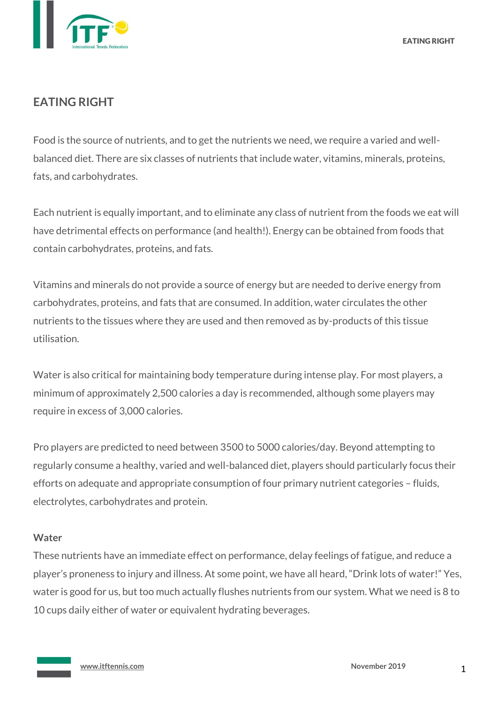

# **EATING RIGHT**

Food is the source of nutrients, and to get the nutrients we need, we require a varied and wellbalanced diet. There are six classes of nutrients that include water, vitamins, minerals, proteins, fats, and carbohydrates.

Each nutrient is equally important, and to eliminate any class of nutrient from the foods we eat will have detrimental effects on performance (and health!). Energy can be obtained from foods that contain carbohydrates, proteins, and fats.

Vitamins and minerals do not provide a source of energy but are needed to derive energy from carbohydrates, proteins, and fats that are consumed. In addition, water circulates the other nutrients to the tissues where they are used and then removed as by-products of this tissue utilisation.

Water is also critical for maintaining body temperature during intense play. For most players, a minimum of approximately 2,500 calories a day is recommended, although some players may require in excess of 3,000 calories.

Pro players are predicted to need between 3500 to 5000 calories/day. Beyond attempting to regularly consume a healthy, varied and well-balanced diet, players should particularly focus their efforts on adequate and appropriate consumption of four primary nutrient categories – fluids, electrolytes, carbohydrates and protein.

## **Water**

These nutrients have an immediate effect on performance, delay feelings of fatigue, and reduce a player's proneness to injury and illness. At some point, we have all heard, "Drink lots of water!" Yes, water is good for us, but too much actually flushes nutrients from our system. What we need is 8 to 10 cups daily either of water or equivalent hydrating beverages.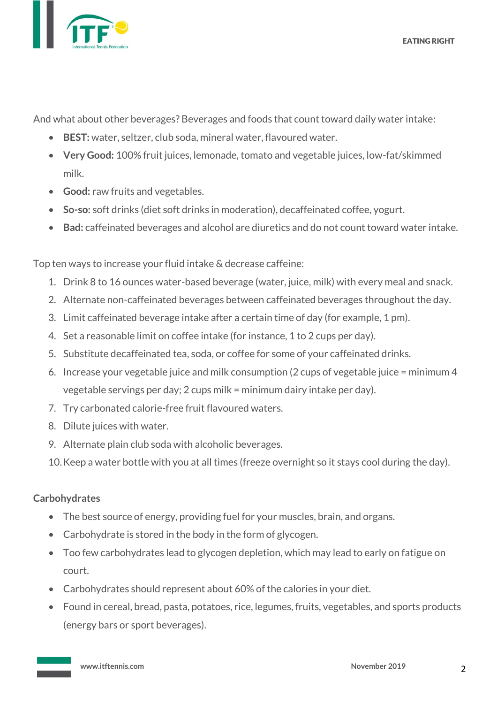And what about other beverages? Beverages and foods that count toward daily water intake:

- **BEST:** water, seltzer, club soda, mineral water, flavoured water.
- **Very Good:** 100% fruit juices, lemonade, tomato and vegetable juices, low-fat/skimmed milk.
- **Good:** raw fruits and vegetables.
- **So-so:** soft drinks (diet soft drinks in moderation), decaffeinated coffee, yogurt.
- **Bad:** caffeinated beverages and alcohol are diuretics and do not count toward water intake.

Top ten ways to increase your fluid intake & decrease caffeine:

- 1. Drink 8 to 16 ounces water-based beverage (water, juice, milk) with every meal and snack.
- 2. Alternate non-caffeinated beverages between caffeinated beverages throughout the day.
- 3. Limit caffeinated beverage intake after a certain time of day (for example, 1 pm).
- 4. Set a reasonable limit on coffee intake (for instance, 1 to 2 cups per day).
- 5. Substitute decaffeinated tea, soda, or coffee for some of your caffeinated drinks.
- 6. Increase your vegetable juice and milk consumption (2 cups of vegetable juice = minimum 4 vegetable servings per day; 2 cups milk = minimum dairy intake per day).
- 7. Try carbonated calorie-free fruit flavoured waters.
- 8. Dilute juices with water.
- 9. Alternate plain club soda with alcoholic beverages.
- 10.Keep a water bottle with you at all times (freeze overnight so it stays cool during the day).

#### **Carbohydrates**

- The best source of energy, providing fuel for your muscles, brain, and organs.
- Carbohydrate is stored in the body in the form of glycogen.
- Too few carbohydrates lead to glycogen depletion, which may lead to early on fatigue on court.
- Carbohydrates should represent about 60% of the calories in your diet.
- Found in cereal, bread, pasta, potatoes, rice, legumes, fruits, vegetables, and sports products (energy bars or sport beverages).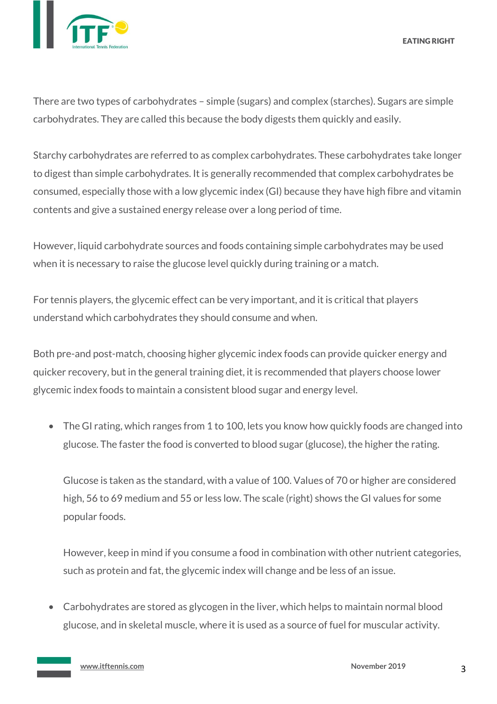

EATING RIGHT

There are two types of carbohydrates – simple (sugars) and complex (starches). Sugars are simple carbohydrates. They are called this because the body digests them quickly and easily.

Starchy carbohydrates are referred to as complex carbohydrates. These carbohydrates take longer to digest than simple carbohydrates. It is generally recommended that complex carbohydrates be consumed, especially those with a low glycemic index (GI) because they have high fibre and vitamin contents and give a sustained energy release over a long period of time.

However, liquid carbohydrate sources and foods containing simple carbohydrates may be used when it is necessary to raise the glucose level quickly during training or a match.

For tennis players, the glycemic effect can be very important, and it is critical that players understand which carbohydrates they should consume and when.

Both pre-and post-match, choosing higher glycemic index foods can provide quicker energy and quicker recovery, but in the general training diet, it is recommended that players choose lower glycemic index foods to maintain a consistent blood sugar and energy level.

• The GI rating, which ranges from 1 to 100, lets you know how quickly foods are changed into glucose. The faster the food is converted to blood sugar (glucose), the higher the rating.

Glucose is taken as the standard, with a value of 100. Values of 70 or higher are considered high, 56 to 69 medium and 55 or less low. The scale (right) shows the GI values for some popular foods.

However, keep in mind if you consume a food in combination with other nutrient categories, such as protein and fat, the glycemic index will change and be less of an issue.

• Carbohydrates are stored as glycogen in the liver, which helps to maintain normal blood glucose, and in skeletal muscle, where it is used as a source of fuel for muscular activity.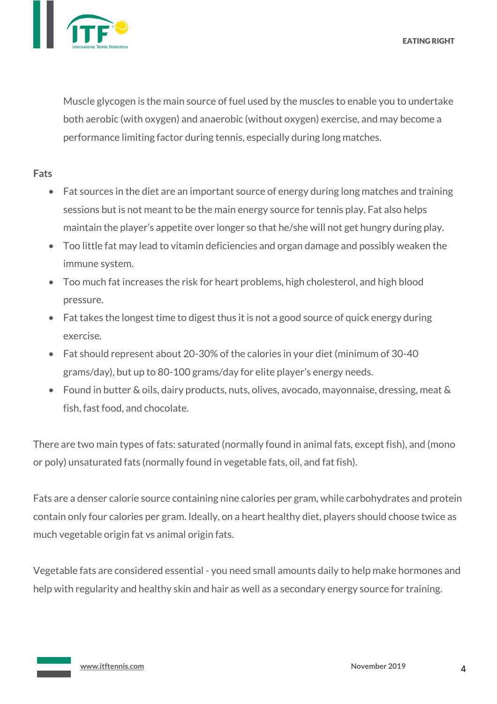EATING RIGHT



Muscle glycogen is the main source of fuel used by the muscles to enable you to undertake both aerobic (with oxygen) and anaerobic (without oxygen) exercise, and may become a performance limiting factor during tennis, especially during long matches.

#### **Fats**

- Fat sources in the diet are an important source of energy during long matches and training sessions but is not meant to be the main energy source for tennis play. Fat also helps maintain the player's appetite over longer so that he/she will not get hungry during play.
- Too little fat may lead to vitamin deficiencies and organ damage and possibly weaken the immune system.
- Too much fat increases the risk for heart problems, high cholesterol, and high blood pressure.
- Fat takes the longest time to digest thus it is not a good source of quick energy during exercise.
- Fat should represent about 20-30% of the calories in your diet (minimum of 30-40 grams/day), but up to 80-100 grams/day for elite player's energy needs.
- Found in butter & oils, dairy products, nuts, olives, avocado, mayonnaise, dressing, meat & fish, fast food, and chocolate.

There are two main types of fats: saturated (normally found in animal fats, except fish), and (mono or poly) unsaturated fats (normally found in vegetable fats, oil, and fat fish).

Fats are a denser calorie source containing nine calories per gram, while carbohydrates and protein contain only four calories per gram. Ideally, on a heart healthy diet, players should choose twice as much vegetable origin fat vs animal origin fats.

Vegetable fats are considered essential - you need small amounts daily to help make hormones and help with regularity and healthy skin and hair as well as a secondary energy source for training.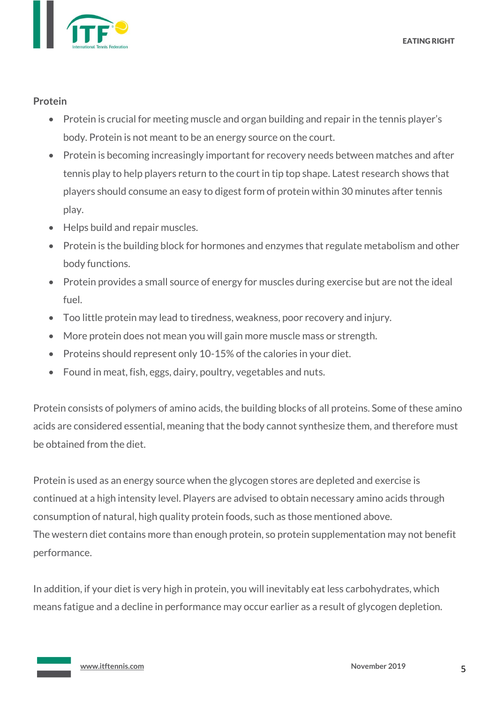

#### **Protein**

- Protein is crucial for meeting muscle and organ building and repair in the tennis player's body. Protein is not meant to be an energy source on the court.
- Protein is becoming increasingly important for recovery needs between matches and after tennis play to help players return to the court in tip top shape. Latest research shows that players should consume an easy to digest form of protein within 30 minutes after tennis play.
- Helps build and repair muscles.
- Protein is the building block for hormones and enzymes that regulate metabolism and other body functions.
- Protein provides a small source of energy for muscles during exercise but are not the ideal fuel.
- Too little protein may lead to tiredness, weakness, poor recovery and injury.
- More protein does not mean you will gain more muscle mass or strength.
- Proteins should represent only 10-15% of the calories in your diet.
- Found in meat, fish, eggs, dairy, poultry, vegetables and nuts.

Protein consists of polymers of amino acids, the building blocks of all proteins. Some of these amino acids are considered essential, meaning that the body cannot synthesize them, and therefore must be obtained from the diet.

Protein is used as an energy source when the glycogen stores are depleted and exercise is continued at a high intensity level. Players are advised to obtain necessary amino acids through consumption of natural, high quality protein foods, such as those mentioned above. The western diet contains more than enough protein, so protein supplementation may not benefit performance.

In addition, if your diet is very high in protein, you will inevitably eat less carbohydrates, which means fatigue and a decline in performance may occur earlier as a result of glycogen depletion.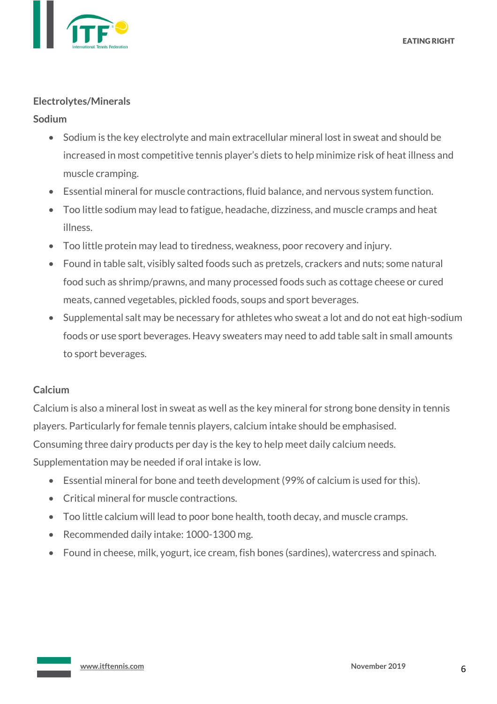

### **Electrolytes/Minerals**

## **Sodium**

- Sodium is the key electrolyte and main extracellular mineral lost in sweat and should be increased in most competitive tennis player's diets to help minimize risk of heat illness and muscle cramping.
- Essential mineral for muscle contractions, fluid balance, and nervous system function.
- Too little sodium may lead to fatigue, headache, dizziness, and muscle cramps and heat illness.
- Too little protein may lead to tiredness, weakness, poor recovery and injury.
- Found in table salt, visibly salted foods such as pretzels, crackers and nuts; some natural food such as shrimp/prawns, and many processed foods such as cottage cheese or cured meats, canned vegetables, pickled foods, soups and sport beverages.
- Supplemental salt may be necessary for athletes who sweat a lot and do not eat high-sodium foods or use sport beverages. Heavy sweaters may need to add table salt in small amounts to sport beverages.

## **Calcium**

Calcium is also a mineral lost in sweat as well as the key mineral for strong bone density in tennis players. Particularly for female tennis players, calcium intake should be emphasised. Consuming three dairy products per day is the key to help meet daily calcium needs. Supplementation may be needed if oral intake is low.

- Essential mineral for bone and teeth development (99% of calcium is used for this).
- Critical mineral for muscle contractions.
- Too little calcium will lead to poor bone health, tooth decay, and muscle cramps.
- Recommended daily intake: 1000-1300 mg.
- Found in cheese, milk, yogurt, ice cream, fish bones (sardines), watercress and spinach.